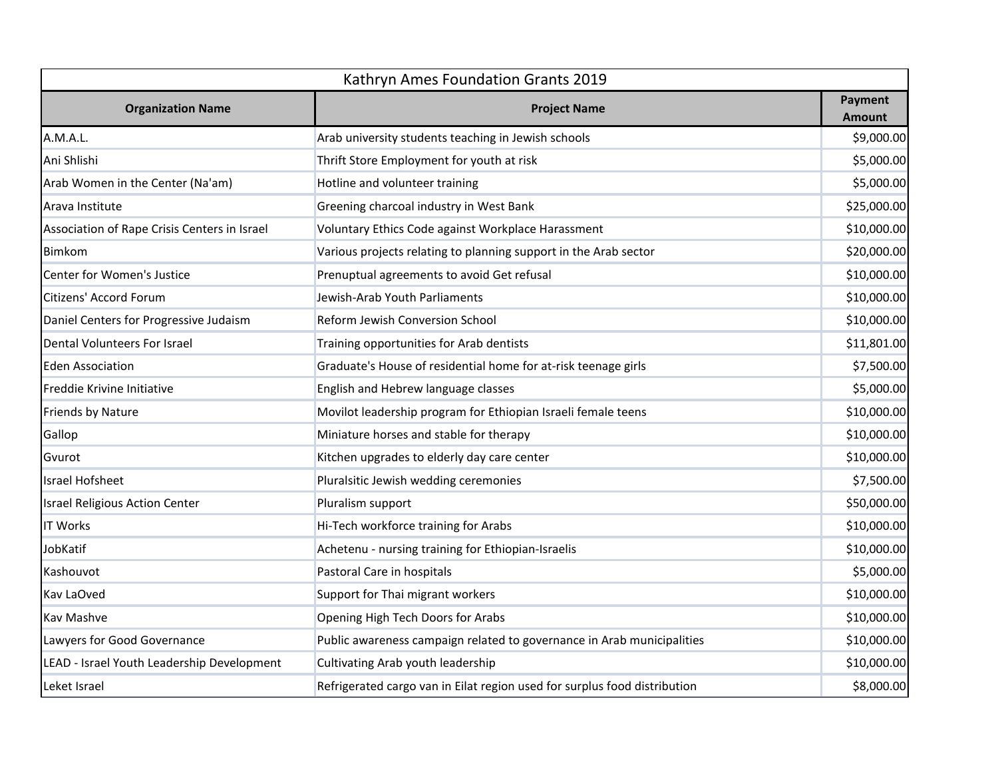| Kathryn Ames Foundation Grants 2019          |                                                                           |                          |
|----------------------------------------------|---------------------------------------------------------------------------|--------------------------|
| <b>Organization Name</b>                     | <b>Project Name</b>                                                       | Payment<br><b>Amount</b> |
| A.M.A.L.                                     | Arab university students teaching in Jewish schools                       | \$9,000.00               |
| Ani Shlishi                                  | Thrift Store Employment for youth at risk                                 | \$5,000.00               |
| Arab Women in the Center (Na'am)             | Hotline and volunteer training                                            | \$5,000.00               |
| Arava Institute                              | Greening charcoal industry in West Bank                                   | \$25,000.00              |
| Association of Rape Crisis Centers in Israel | Voluntary Ethics Code against Workplace Harassment                        | \$10,000.00              |
| Bimkom                                       | Various projects relating to planning support in the Arab sector          | \$20,000.00              |
| Center for Women's Justice                   | Prenuptual agreements to avoid Get refusal                                | \$10,000.00              |
| Citizens' Accord Forum                       | Jewish-Arab Youth Parliaments                                             | \$10,000.00              |
| Daniel Centers for Progressive Judaism       | Reform Jewish Conversion School                                           | \$10,000.00              |
| Dental Volunteers For Israel                 | Training opportunities for Arab dentists                                  | \$11,801.00              |
| <b>Eden Association</b>                      | Graduate's House of residential home for at-risk teenage girls            | \$7,500.00               |
| <b>Freddie Krivine Initiative</b>            | English and Hebrew language classes                                       | \$5,000.00               |
| Friends by Nature                            | Movilot leadership program for Ethiopian Israeli female teens             | \$10,000.00              |
| Gallop                                       | Miniature horses and stable for therapy                                   | \$10,000.00              |
| Gvurot                                       | Kitchen upgrades to elderly day care center                               | \$10,000.00              |
| <b>Israel Hofsheet</b>                       | Pluralsitic Jewish wedding ceremonies                                     | \$7,500.00               |
| <b>Israel Religious Action Center</b>        | Pluralism support                                                         | \$50,000.00              |
| <b>IT Works</b>                              | Hi-Tech workforce training for Arabs                                      | \$10,000.00              |
| JobKatif                                     | Achetenu - nursing training for Ethiopian-Israelis                        | \$10,000.00              |
| Kashouvot                                    | Pastoral Care in hospitals                                                | \$5,000.00               |
| Kav LaOved                                   | Support for Thai migrant workers                                          | \$10,000.00              |
| <b>Kav Mashve</b>                            | Opening High Tech Doors for Arabs                                         | \$10,000.00              |
| Lawyers for Good Governance                  | Public awareness campaign related to governance in Arab municipalities    | \$10,000.00              |
| LEAD - Israel Youth Leadership Development   | Cultivating Arab youth leadership                                         | \$10,000.00              |
| Leket Israel                                 | Refrigerated cargo van in Eilat region used for surplus food distribution | \$8,000.00               |